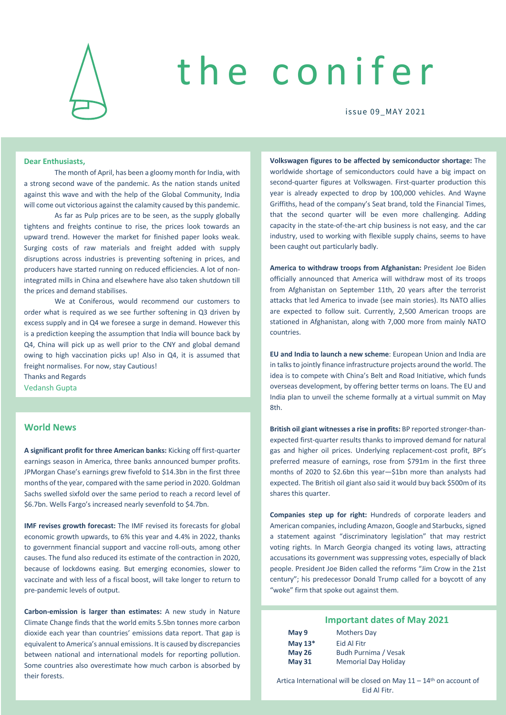

# the conifer

issue 09\_M AY 2021

#### **Dear Enthusiasts,**

The month of April, has been a gloomy month for India, with a strong second wave of the pandemic. As the nation stands united against this wave and with the help of the Global Community, India will come out victorious against the calamity caused by this pandemic.

As far as Pulp prices are to be seen, as the supply globally tightens and freights continue to rise, the prices look towards an upward trend. However the market for finished paper looks weak. Surging costs of raw materials and freight added with supply disruptions across industries is preventing softening in prices, and producers have started running on reduced efficiencies. A lot of nonintegrated mills in China and elsewhere have also taken shutdown till the prices and demand stabilises.

We at Coniferous, would recommend our customers to order what is required as we see further softening in Q3 driven by excess supply and in Q4 we foresee a surge in demand. However this is a prediction keeping the assumption that India will bounce back by Q4, China will pick up as well prior to the CNY and global demand owing to high vaccination picks up! Also in Q4, it is assumed that freight normalises. For now, stay Cautious!

Thanks and Regards Vedansh Gupta

### **World News**

**A significant profit for three American banks:** Kicking off first-quarter earnings season in America, three banks announced bumper profits. JPMorgan Chase's earnings grew fivefold to \$14.3bn in the first three months of the year, compared with the same period in 2020. Goldman Sachs swelled sixfold over the same period to reach a record level of \$6.7bn. Wells Fargo's increased nearly sevenfold to \$4.7bn.

**IMF revises growth forecast:** The IMF revised its forecasts for global economic growth upwards, to 6% this year and 4.4% in 2022, thanks to government financial support and vaccine roll-outs, among other causes. The fund also reduced its estimate of the contraction in 2020, because of lockdowns easing. But emerging economies, slower to vaccinate and with less of a fiscal boost, will take longer to return to pre-pandemic levels of output.

**Carbon-emission is larger than estimates:** A new study in Nature Climate Change finds that the world emits 5.5bn tonnes more carbon dioxide each year than countries' emissions data report. That gap is equivalent to America's annual emissions. It is caused by discrepancies between national and international models for reporting pollution. Some countries also overestimate how much carbon is absorbed by their forests.

**Volkswagen figures to be affected by semiconductor shortage:** The worldwide shortage of semiconductors could have a big impact on second-quarter figures at Volkswagen. First-quarter production this year is already expected to drop by 100,000 vehicles. And Wayne Griffiths, head of the company's Seat brand, told the Financial Times, that the second quarter will be even more challenging. Adding capacity in the state-of-the-art chip business is not easy, and the car industry, used to working with flexible supply chains, seems to have been caught out particularly badly.

**America to withdraw troops from Afghanistan:** President Joe Biden officially announced that America will withdraw most of its troops from Afghanistan on September 11th, 20 years after the terrorist attacks that led America to invade (see main stories). Its NATO allies are expected to follow suit. Currently, 2,500 American troops are stationed in Afghanistan, along with 7,000 more from mainly NATO countries.

**EU and India to launch a new scheme**: European Union and India are in talks to jointly finance infrastructure projects around the world. The idea is to compete with China's Belt and Road Initiative, which funds overseas development, by offering better terms on loans. The EU and India plan to unveil the scheme formally at a virtual summit on May 8th.

**British oil giant witnesses a rise in profits:** BP reported stronger-thanexpected first-quarter results thanks to improved demand for natural gas and higher oil prices. Underlying replacement-cost profit, BP's preferred measure of earnings, rose from \$791m in the first three months of 2020 to \$2.6bn this year—\$1bn more than analysts had expected. The British oil giant also said it would buy back \$500m of its shares this quarter.

**Companies step up for right:** Hundreds of corporate leaders and American companies, including Amazon, Google and Starbucks, signed a statement against "discriminatory legislation" that may restrict voting rights. In March Georgia changed its voting laws, attracting accusations its government was suppressing votes, especially of black people. President Joe Biden called the reforms "Jim Crow in the 21st century"; his predecessor Donald Trump called for a boycott of any "woke" firm that spoke out against them.

### **Important dates of May 2021**

| May 9         | <b>Mothers Day</b>          |
|---------------|-----------------------------|
| May $13*$     | Eid Al Fitr                 |
| <b>May 26</b> | Budh Purnima / Vesak        |
| <b>May 31</b> | <b>Memorial Day Holiday</b> |

Artica International will be closed on May  $11 - 14$ <sup>th</sup> on account of Eid Al Fitr.